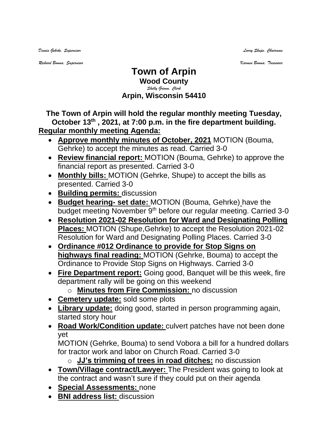*Dennis Gehrke, Supervisor Larry Shupe, Chairman* 

*Richard Bouma, Supervisor Karmen Bouma, Treasurer*

## **Town of Arpin Wood County** *Shelly Grimm, Clerk* **Arpin, Wisconsin 54410**

**The Town of Arpin will hold the regular monthly meeting Tuesday, October 13 th , 2021, at 7:00 p.m. in the fire department building. Regular monthly meeting Agenda:** 

- **Approve monthly minutes of October, 2021** MOTION (Bouma, Gehrke) to accept the minutes as read. Carried 3-0
- **Review financial report:** MOTION (Bouma, Gehrke) to approve the financial report as presented. Carried 3-0
- **Monthly bills:** MOTION (Gehrke, Shupe) to accept the bills as presented. Carried 3-0
- **Building permits:** discussion
- **Budget hearing- set date:** MOTION (Bouma, Gehrke) have the budget meeting November 9<sup>th</sup> before our regular meeting. Carried 3-0
- **Resolution 2021-02 Resolution for Ward and Designating Polling Places:** MOTION (Shupe,Gehrke) to accept the Resolution 2021-02 Resolution for Ward and Designating Polling Places. Carried 3-0
- **Ordinance #012 Ordinance to provide for Stop Signs on highways final reading:** MOTION (Gehrke, Bouma) to accept the Ordinance to Provide Stop Signs on Highways. Carried 3-0
- **Fire Department report:** Going good, Banquet will be this week, fire department rally will be going on this weekend
	- o **Minutes from Fire Commission:** no discussion
- **Cemetery update:** sold some plots
- **Library update:** doing good, started in person programming again, started story hour
- **Road Work/Condition update:** culvert patches have not been done yet

MOTION (Gehrke, Bouma) to send Vobora a bill for a hundred dollars for tractor work and labor on Church Road. Carried 3-0

o **JJ's trimming of trees in road ditches:** no discussion

- **Town/Village contract/Lawyer:** The President was going to look at the contract and wasn't sure if they could put on their agenda
- **Special Assessments:** none
- **BNI address list:** discussion